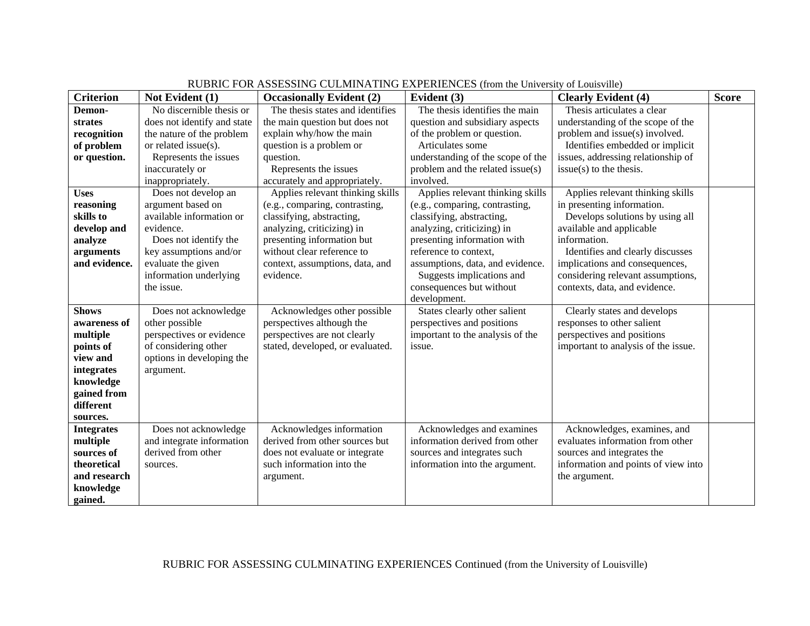| <b>Criterion</b>  | Not Evident (1)             | <b>Occasionally Evident (2)</b>  | Evident (3)                       | <b>Clearly Evident (4)</b>          | <b>Score</b> |
|-------------------|-----------------------------|----------------------------------|-----------------------------------|-------------------------------------|--------------|
| Demon-            | No discernible thesis or    | The thesis states and identifies | The thesis identifies the main    | Thesis articulates a clear          |              |
| strates           | does not identify and state | the main question but does not   | question and subsidiary aspects   | understanding of the scope of the   |              |
| recognition       | the nature of the problem   | explain why/how the main         | of the problem or question.       | problem and issue(s) involved.      |              |
| of problem        | or related issue(s).        | question is a problem or         | Articulates some                  | Identifies embedded or implicit     |              |
| or question.      | Represents the issues       | question.                        | understanding of the scope of the | issues, addressing relationship of  |              |
|                   | inaccurately or             | Represents the issues            | problem and the related issue(s)  | $issue(s)$ to the thesis.           |              |
|                   | inappropriately.            | accurately and appropriately.    | involved.                         |                                     |              |
| <b>Uses</b>       | Does not develop an         | Applies relevant thinking skills | Applies relevant thinking skills  | Applies relevant thinking skills    |              |
| reasoning         | argument based on           | (e.g., comparing, contrasting,   | (e.g., comparing, contrasting,    | in presenting information.          |              |
| skills to         | available information or    | classifying, abstracting,        | classifying, abstracting,         | Develops solutions by using all     |              |
| develop and       | evidence.                   | analyzing, criticizing) in       | analyzing, criticizing) in        | available and applicable            |              |
| analyze           | Does not identify the       | presenting information but       | presenting information with       | information.                        |              |
| arguments         | key assumptions and/or      | without clear reference to       | reference to context,             | Identifies and clearly discusses    |              |
| and evidence.     | evaluate the given          | context, assumptions, data, and  | assumptions, data, and evidence.  | implications and consequences,      |              |
|                   | information underlying      | evidence.                        | Suggests implications and         | considering relevant assumptions,   |              |
|                   | the issue.                  |                                  | consequences but without          | contexts, data, and evidence.       |              |
|                   |                             |                                  | development.                      |                                     |              |
| <b>Shows</b>      | Does not acknowledge        | Acknowledges other possible      | States clearly other salient      | Clearly states and develops         |              |
| awareness of      | other possible              | perspectives although the        | perspectives and positions        | responses to other salient          |              |
| multiple          | perspectives or evidence    | perspectives are not clearly     | important to the analysis of the  | perspectives and positions          |              |
| points of         | of considering other        | stated, developed, or evaluated. | issue.                            | important to analysis of the issue. |              |
| view and          | options in developing the   |                                  |                                   |                                     |              |
| integrates        | argument.                   |                                  |                                   |                                     |              |
| knowledge         |                             |                                  |                                   |                                     |              |
| gained from       |                             |                                  |                                   |                                     |              |
| different         |                             |                                  |                                   |                                     |              |
| sources.          |                             |                                  |                                   |                                     |              |
| <b>Integrates</b> | Does not acknowledge        | Acknowledges information         | Acknowledges and examines         | Acknowledges, examines, and         |              |
| multiple          | and integrate information   | derived from other sources but   | information derived from other    | evaluates information from other    |              |
| sources of        | derived from other          | does not evaluate or integrate   | sources and integrates such       | sources and integrates the          |              |
| theoretical       | sources.                    | such information into the        | information into the argument.    | information and points of view into |              |
| and research      |                             | argument.                        |                                   | the argument.                       |              |
| knowledge         |                             |                                  |                                   |                                     |              |
| gained.           |                             |                                  |                                   |                                     |              |

## RUBRIC FOR ASSESSING CULMINATING EXPERIENCES (from the University of Louisville)